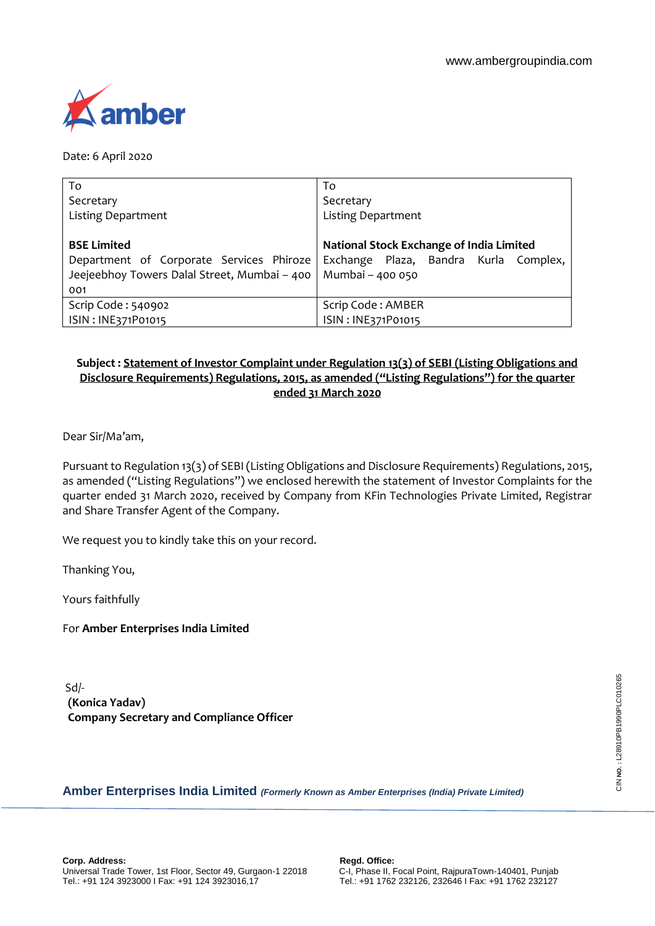

Date: 6 April 2020

| To                                           | To                                       |  |  |
|----------------------------------------------|------------------------------------------|--|--|
| Secretary                                    | Secretary                                |  |  |
| <b>Listing Department</b>                    | <b>Listing Department</b>                |  |  |
|                                              |                                          |  |  |
| <b>BSE Limited</b>                           | National Stock Exchange of India Limited |  |  |
| Department of Corporate Services Phiroze     | Exchange Plaza, Bandra Kurla Complex,    |  |  |
| Jeejeebhoy Towers Dalal Street, Mumbai - 400 | Mumbai - 400 050                         |  |  |
| 001                                          |                                          |  |  |
| Scrip Code: 540902                           | Scrip Code: AMBER                        |  |  |
| ISIN: INE371P01015                           | ISIN: INE371P01015                       |  |  |

# **Subject : Statement of Investor Complaint under Regulation 13(3) of SEBI (Listing Obligations and Disclosure Requirements) Regulations, 2015, as amended ("Listing Regulations") for the quarter ended 31 March 2020**

Dear Sir/Ma'am,

Pursuant to Regulation 13(3) of SEBI (Listing Obligations and Disclosure Requirements) Regulations, 2015, as amended ("Listing Regulations") we enclosed herewith the statement of Investor Complaints for the quarter ended 31 March 2020, received by Company from KFin Technologies Private Limited, Registrar and Share Transfer Agent of the Company.

We request you to kindly take this on your record.

Thanking You,

Yours faithfully

For **Amber Enterprises India Limited**

Sd/- **(Konica Yadav) Company Secretary and Compliance Officer**

## **Amber Enterprises India Limited** *(Formerly Known as Amber Enterprises (India) Private Limited)*